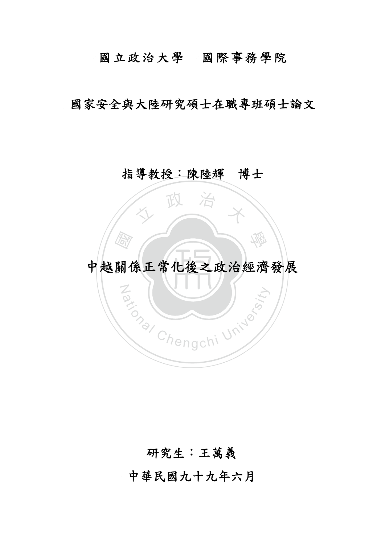## 國立政治大學國際事務學院

國家安全與大陸研究碩士在職專班碩士論文

### 指導教授:陳陸輝博士

政 治

# ‧圖 ‧ 中越關係正常化後之政治經濟發展

Za (William University

學

### 研究生:王萬義

中華民國九十九年六月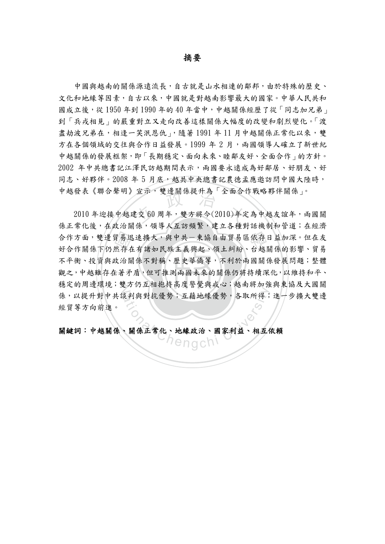摘要

中國與越南的關係源遠流長,自古就是山水相連的鄰邦,由於特殊的歷史、 文化和地緣等因素,自古以來,中國就是對越南影響最大的國家。中華人民共和 國成立後,從 1950年到1990年的40年當中,中越關係經歷了從「同志加兄弟」 到「兵戎相見」的嚴重對立又走向改善這樣關係大幅度的改變和劇烈變化。「渡 盡劫波兄弟在,相逢一笑泯恩仇」,隨著1991年11月中越關係正常化以來,雙 方在各個領域的交往與合作日益發展。1999年2月,兩國領導人確立了新世紀 中越關係的發展框架,即「長期穩定、面向未來、睦鄰友好、全面合作」的方針。 2002 年中共總書記江澤民訪越期間表示,兩國要永遠成為好鄰居、好朋友、好 同志、好夥伴。2008 年 5 月底,越共中央總書記農德孟應邀訪問中國大陸時, 中越發表《聯合聲明》宣示,雙邊關係提升為「全面合作戰略夥伴關係」。

觀之,中越雖存在著矛盾,但可推測兩國未來的關係仍將持續深化,以維持和平、 合作方面,雙邊貿易迅速擴大,與中共一東協自由貿易區依存日益加深。但在友好合作關係下仍然存在有諸如民族主義興起、領土糾紛、台越關係的影響、貿易<br>不平衡、投資與政治關係不對稱、歷史華僑等,不利於兩國關係發展問題;整體<br>觀之,中越雖存在著矛盾,但可推測兩國未來的關係仍將持續深化,以維持和平、 <sup>立</sup> <sup>政</sup> <sup>治</sup> <sup>大</sup> 穩定的周邊環境;雙方仍互相抱持高度警覺與戒心;越南將加強與東協及大國關 《判與對抗優勢;互藉地緣優勢,各取所得;<br>《判與對抗優勢;互藉地緣優勢,各取所得; 2010 年迎接中越建交 60 周年,雙方將今(2010)年定為中越友誼年,兩國關 係正常化後,在政治關係,領導人互訪頻繁,建立各種對話機制和管道;在經濟 好合作關係下仍然存在有諸如民族主義興起、領土糾紛、台越關係的影響、貿易 不平衡、投資與政治關係不對稱、歷史華僑等,不利於兩國關係發展問題;整體 係,以提升對中共談判與對抗優勢;互藉地緣優勢,各取所得;進一步擴大雙邊 經貿等方向前進。

#### 關鍵詞:中越關係、關係正常化、地緣政治、國家利益、相互依賴